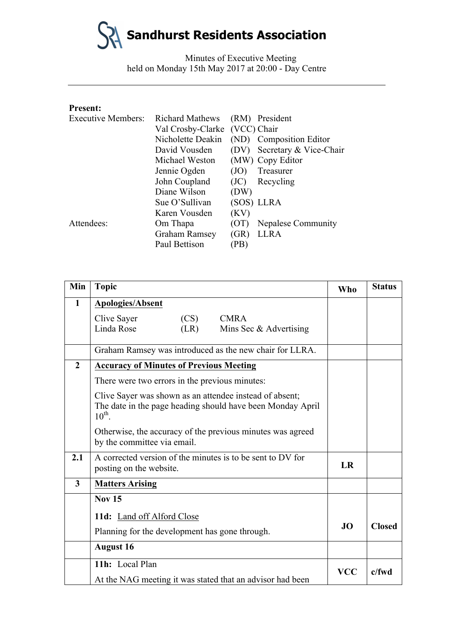Minutes of Executive Meeting held on Monday 15th May 2017 at 20:00 - Day Centre

#### **Present:**

| <b>Executive Members:</b> | <b>Richard Mathews</b>        |      | (RM) President          |
|---------------------------|-------------------------------|------|-------------------------|
|                           | Val Crosby-Clarke (VCC) Chair |      |                         |
|                           | Nicholette Deakin             |      | (ND) Composition Editor |
|                           | David Vousden                 | (DV) | Secretary & Vice-Chair  |
|                           | Michael Weston                |      | (MW) Copy Editor        |
|                           | Jennie Ogden                  | (JO) | Treasurer               |
|                           | John Coupland                 | (JC) | Recycling               |
|                           | Diane Wilson                  | (DW) |                         |
|                           | Sue O'Sullivan                |      | (SOS) LLRA              |
|                           | Karen Vousden                 | (KV) |                         |
| Attendees:                | Om Thapa                      | (OT) | Nepalese Community      |
|                           | Graham Ramsey                 | (GR) | <b>LLRA</b>             |
|                           | Paul Bettison                 | (PB) |                         |

| Min                     | <b>Topic</b>                                                                                                                         | Who        | <b>Status</b> |
|-------------------------|--------------------------------------------------------------------------------------------------------------------------------------|------------|---------------|
| $\mathbf{1}$            | <b>Apologies/Absent</b>                                                                                                              |            |               |
|                         | Clive Sayer<br>(CS)<br><b>CMRA</b>                                                                                                   |            |               |
|                         | Linda Rose<br>(LR)<br>Mins Sec & Advertising                                                                                         |            |               |
|                         | Graham Ramsey was introduced as the new chair for LLRA.                                                                              |            |               |
| $\overline{2}$          | <b>Accuracy of Minutes of Previous Meeting</b>                                                                                       |            |               |
|                         | There were two errors in the previous minutes:                                                                                       |            |               |
|                         | Clive Sayer was shown as an attendee instead of absent;<br>The date in the page heading should have been Monday April<br>$10^{th}$ . |            |               |
|                         | Otherwise, the accuracy of the previous minutes was agreed<br>by the committee via email.                                            |            |               |
| 2.1                     | A corrected version of the minutes is to be sent to DV for<br>posting on the website.                                                | <b>LR</b>  |               |
| $\overline{\mathbf{3}}$ | <b>Matters Arising</b>                                                                                                               |            |               |
|                         | <b>Nov 15</b>                                                                                                                        |            |               |
|                         | 11d: Land off Alford Close                                                                                                           |            |               |
|                         | Planning for the development has gone through.                                                                                       | <b>JO</b>  | <b>Closed</b> |
|                         | <b>August 16</b>                                                                                                                     |            |               |
|                         | 11h: Local Plan                                                                                                                      |            |               |
|                         | At the NAG meeting it was stated that an advisor had been                                                                            | <b>VCC</b> | c/fwd         |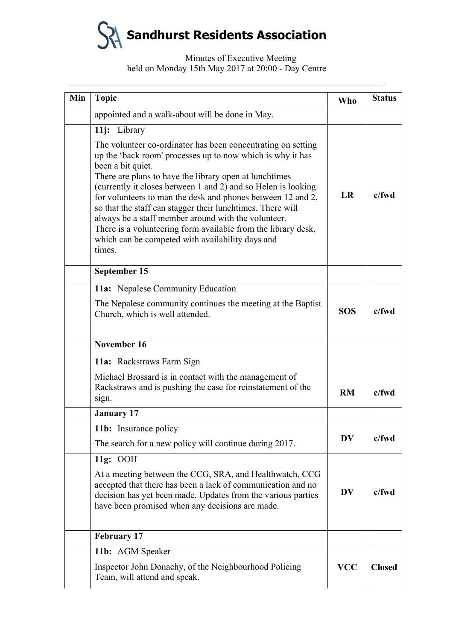| Min | <b>Topic</b>                                                                                                                                                                                                                                                                                                                                                                                                                                                                                                                                                                                                  | Who        | <b>Status</b> |
|-----|---------------------------------------------------------------------------------------------------------------------------------------------------------------------------------------------------------------------------------------------------------------------------------------------------------------------------------------------------------------------------------------------------------------------------------------------------------------------------------------------------------------------------------------------------------------------------------------------------------------|------------|---------------|
|     | appointed and a walk-about will be done in May.                                                                                                                                                                                                                                                                                                                                                                                                                                                                                                                                                               |            |               |
|     | 11j: Library<br>The volunteer co-ordinator has been concentrating on setting<br>up the 'back room' processes up to now which is why it has<br>been a bit quiet.<br>There are plans to have the library open at lunchtimes<br>(currently it closes between 1 and 2) and so Helen is looking<br>for volunteers to man the desk and phones between 12 and 2,<br>so that the staff can stagger their lunchtimes. There will<br>always be a staff member around with the volunteer.<br>There is a volunteering form available from the library desk,<br>which can be competed with availability days and<br>times. | LR         | $c$ /fwd      |
|     | September 15                                                                                                                                                                                                                                                                                                                                                                                                                                                                                                                                                                                                  |            |               |
|     | 11a: Nepalese Community Education<br>The Nepalese community continues the meeting at the Baptist<br>Church, which is well attended.                                                                                                                                                                                                                                                                                                                                                                                                                                                                           | <b>SOS</b> | $c$ /fwd      |
|     | November 16                                                                                                                                                                                                                                                                                                                                                                                                                                                                                                                                                                                                   |            |               |
|     | 11a: Rackstraws Farm Sign                                                                                                                                                                                                                                                                                                                                                                                                                                                                                                                                                                                     |            |               |
|     | Michael Brossard is in contact with the management of<br>Rackstraws and is pushing the case for reinstatement of the<br>sign.                                                                                                                                                                                                                                                                                                                                                                                                                                                                                 | <b>RM</b>  | $c$ /fwd      |
|     | <b>January 17</b>                                                                                                                                                                                                                                                                                                                                                                                                                                                                                                                                                                                             |            |               |
|     | 11b: Insurance policy<br>The search for a new policy will continue during 2017.                                                                                                                                                                                                                                                                                                                                                                                                                                                                                                                               | <b>DV</b>  | $c$ /fwd      |
|     | 11g: OOH<br>At a meeting between the CCG, SRA, and Healthwatch, CCG<br>accepted that there has been a lack of communication and no<br>decision has yet been made. Updates from the various parties<br>have been promised when any decisions are made.                                                                                                                                                                                                                                                                                                                                                         | <b>DV</b>  | $c$ /fwd      |
|     | <b>February 17</b>                                                                                                                                                                                                                                                                                                                                                                                                                                                                                                                                                                                            |            |               |
|     | 11b: AGM Speaker<br>Inspector John Donachy, of the Neighbourhood Policing<br>Team, will attend and speak.                                                                                                                                                                                                                                                                                                                                                                                                                                                                                                     | <b>VCC</b> | <b>Closed</b> |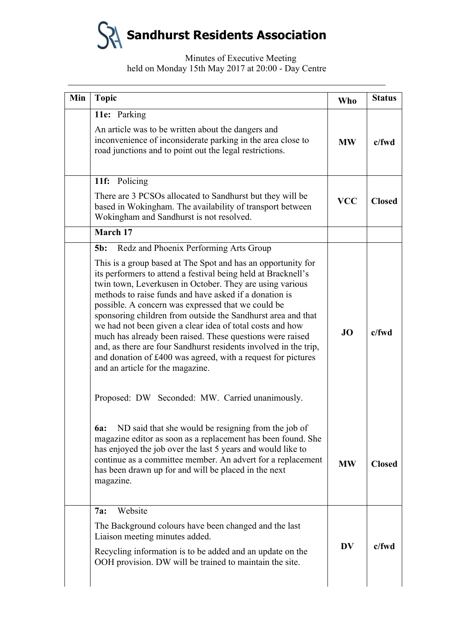| Min | <b>Topic</b>                                                                                                                                                                                                                                                                                                                                                                                                                                                                                                                                                                                                                                                                                                                                                                       | <b>Who</b> | <b>Status</b> |
|-----|------------------------------------------------------------------------------------------------------------------------------------------------------------------------------------------------------------------------------------------------------------------------------------------------------------------------------------------------------------------------------------------------------------------------------------------------------------------------------------------------------------------------------------------------------------------------------------------------------------------------------------------------------------------------------------------------------------------------------------------------------------------------------------|------------|---------------|
|     | 11e: Parking<br>An article was to be written about the dangers and<br>inconvenience of inconsiderate parking in the area close to<br>road junctions and to point out the legal restrictions.                                                                                                                                                                                                                                                                                                                                                                                                                                                                                                                                                                                       | <b>MW</b>  | c/fwd         |
|     | 11f: Policing<br>There are 3 PCSOs allocated to Sandhurst but they will be<br>based in Wokingham. The availability of transport between<br>Wokingham and Sandhurst is not resolved.                                                                                                                                                                                                                                                                                                                                                                                                                                                                                                                                                                                                | <b>VCC</b> | <b>Closed</b> |
|     | March 17                                                                                                                                                                                                                                                                                                                                                                                                                                                                                                                                                                                                                                                                                                                                                                           |            |               |
|     | Redz and Phoenix Performing Arts Group<br>$5b$ :<br>This is a group based at The Spot and has an opportunity for<br>its performers to attend a festival being held at Bracknell's<br>twin town, Leverkusen in October. They are using various<br>methods to raise funds and have asked if a donation is<br>possible. A concern was expressed that we could be<br>sponsoring children from outside the Sandhurst area and that<br>we had not been given a clear idea of total costs and how<br>much has already been raised. These questions were raised<br>and, as there are four Sandhurst residents involved in the trip,<br>and donation of £400 was agreed, with a request for pictures<br>and an article for the magazine.<br>Proposed: DW Seconded: MW. Carried unanimously. | JO         | c/fwd         |
|     | 6a: ND said that she would be resigning from the job of<br>magazine editor as soon as a replacement has been found. She<br>has enjoyed the job over the last 5 years and would like to<br>continue as a committee member. An advert for a replacement<br>has been drawn up for and will be placed in the next<br>magazine.                                                                                                                                                                                                                                                                                                                                                                                                                                                         | <b>MW</b>  | <b>Closed</b> |
|     | Website<br>7a:<br>The Background colours have been changed and the last<br>Liaison meeting minutes added.<br>Recycling information is to be added and an update on the<br>OOH provision. DW will be trained to maintain the site.                                                                                                                                                                                                                                                                                                                                                                                                                                                                                                                                                  | <b>DV</b>  | $c$ /fwd      |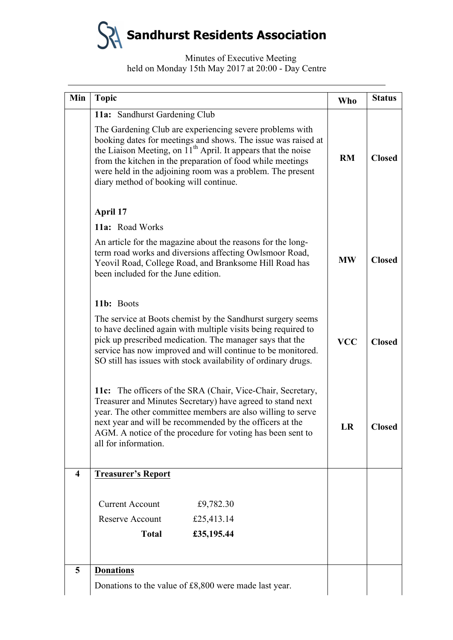| Min | <b>Topic</b>                                                                                                                                                                                                                                                                                                                                                                 | <b>Who</b> | <b>Status</b> |
|-----|------------------------------------------------------------------------------------------------------------------------------------------------------------------------------------------------------------------------------------------------------------------------------------------------------------------------------------------------------------------------------|------------|---------------|
|     | 11a: Sandhurst Gardening Club                                                                                                                                                                                                                                                                                                                                                |            |               |
|     | The Gardening Club are experiencing severe problems with<br>booking dates for meetings and shows. The issue was raised at<br>the Liaison Meeting, on 11 <sup>th</sup> April. It appears that the noise<br>from the kitchen in the preparation of food while meetings<br>were held in the adjoining room was a problem. The present<br>diary method of booking will continue. | <b>RM</b>  | <b>Closed</b> |
|     | April 17                                                                                                                                                                                                                                                                                                                                                                     |            |               |
|     | 11a: Road Works                                                                                                                                                                                                                                                                                                                                                              |            |               |
|     | An article for the magazine about the reasons for the long-<br>term road works and diversions affecting Owlsmoor Road,<br>Yeovil Road, College Road, and Branksome Hill Road has<br>been included for the June edition.                                                                                                                                                      | <b>MW</b>  | <b>Closed</b> |
|     | 11b: Boots                                                                                                                                                                                                                                                                                                                                                                   |            |               |
|     | The service at Boots chemist by the Sandhurst surgery seems<br>to have declined again with multiple visits being required to<br>pick up prescribed medication. The manager says that the<br>service has now improved and will continue to be monitored.<br>SO still has issues with stock availability of ordinary drugs.                                                    |            | <b>Closed</b> |
|     | 11c: The officers of the SRA (Chair, Vice-Chair, Secretary,<br>Treasurer and Minutes Secretary) have agreed to stand next<br>year. The other committee members are also willing to serve<br>next year and will be recommended by the officers at the<br>AGM. A notice of the procedure for voting has been sent to<br>all for information.                                   | LR         | <b>Closed</b> |
| 4   | <b>Treasurer's Report</b>                                                                                                                                                                                                                                                                                                                                                    |            |               |
|     | <b>Current Account</b><br>£9,782.30<br>£25,413.14<br>Reserve Account<br><b>Total</b><br>£35,195.44                                                                                                                                                                                                                                                                           |            |               |
| 5   | <b>Donations</b>                                                                                                                                                                                                                                                                                                                                                             |            |               |
|     | Donations to the value of £8,800 were made last year.                                                                                                                                                                                                                                                                                                                        |            |               |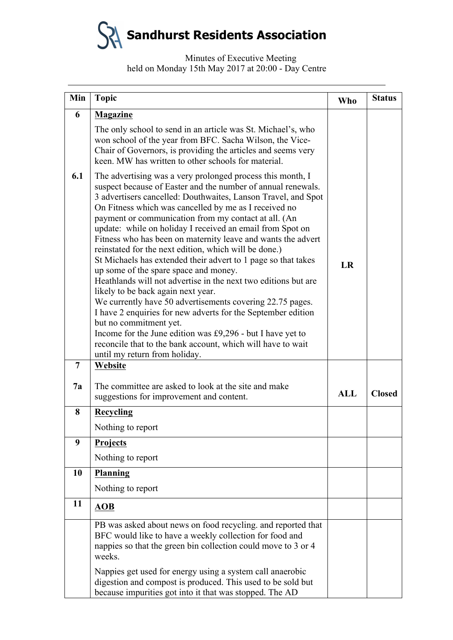| Min            | <b>Topic</b>                                                                                                                                                                                                                                                                                                                                                                                                                                                                                                                                                                                                                                                                                                                                                                                                                                                                                                                                                                                                                              | Who | <b>Status</b> |
|----------------|-------------------------------------------------------------------------------------------------------------------------------------------------------------------------------------------------------------------------------------------------------------------------------------------------------------------------------------------------------------------------------------------------------------------------------------------------------------------------------------------------------------------------------------------------------------------------------------------------------------------------------------------------------------------------------------------------------------------------------------------------------------------------------------------------------------------------------------------------------------------------------------------------------------------------------------------------------------------------------------------------------------------------------------------|-----|---------------|
| 6              | <b>Magazine</b>                                                                                                                                                                                                                                                                                                                                                                                                                                                                                                                                                                                                                                                                                                                                                                                                                                                                                                                                                                                                                           |     |               |
|                | The only school to send in an article was St. Michael's, who<br>won school of the year from BFC. Sacha Wilson, the Vice-<br>Chair of Governors, is providing the articles and seems very<br>keen. MW has written to other schools for material.                                                                                                                                                                                                                                                                                                                                                                                                                                                                                                                                                                                                                                                                                                                                                                                           |     |               |
| 6.1            | The advertising was a very prolonged process this month, I<br>suspect because of Easter and the number of annual renewals.<br>3 advertisers cancelled: Douthwaites, Lanson Travel, and Spot<br>On Fitness which was cancelled by me as I received no<br>payment or communication from my contact at all. (An<br>update: while on holiday I received an email from Spot on<br>Fitness who has been on maternity leave and wants the advert<br>reinstated for the next edition, which will be done.)<br>St Michaels has extended their advert to 1 page so that takes<br>up some of the spare space and money.<br>Heathlands will not advertise in the next two editions but are<br>likely to be back again next year.<br>We currently have 50 advertisements covering 22.75 pages.<br>I have 2 enquiries for new adverts for the September edition<br>but no commitment yet.<br>Income for the June edition was £9,296 - but I have yet to<br>reconcile that to the bank account, which will have to wait<br>until my return from holiday. | LR  |               |
| $\overline{7}$ | Website                                                                                                                                                                                                                                                                                                                                                                                                                                                                                                                                                                                                                                                                                                                                                                                                                                                                                                                                                                                                                                   |     |               |
| 7a             | The committee are asked to look at the site and make<br>suggestions for improvement and content.                                                                                                                                                                                                                                                                                                                                                                                                                                                                                                                                                                                                                                                                                                                                                                                                                                                                                                                                          | ALL | <b>Closed</b> |
| 8              | <b>Recycling</b>                                                                                                                                                                                                                                                                                                                                                                                                                                                                                                                                                                                                                                                                                                                                                                                                                                                                                                                                                                                                                          |     |               |
|                | Nothing to report                                                                                                                                                                                                                                                                                                                                                                                                                                                                                                                                                                                                                                                                                                                                                                                                                                                                                                                                                                                                                         |     |               |
| 9              | <b>Projects</b>                                                                                                                                                                                                                                                                                                                                                                                                                                                                                                                                                                                                                                                                                                                                                                                                                                                                                                                                                                                                                           |     |               |
|                | Nothing to report                                                                                                                                                                                                                                                                                                                                                                                                                                                                                                                                                                                                                                                                                                                                                                                                                                                                                                                                                                                                                         |     |               |
| 10             | Planning                                                                                                                                                                                                                                                                                                                                                                                                                                                                                                                                                                                                                                                                                                                                                                                                                                                                                                                                                                                                                                  |     |               |
|                | Nothing to report                                                                                                                                                                                                                                                                                                                                                                                                                                                                                                                                                                                                                                                                                                                                                                                                                                                                                                                                                                                                                         |     |               |
| 11             | <b>AOB</b>                                                                                                                                                                                                                                                                                                                                                                                                                                                                                                                                                                                                                                                                                                                                                                                                                                                                                                                                                                                                                                |     |               |
|                | PB was asked about news on food recycling. and reported that<br>BFC would like to have a weekly collection for food and<br>nappies so that the green bin collection could move to 3 or 4<br>weeks.                                                                                                                                                                                                                                                                                                                                                                                                                                                                                                                                                                                                                                                                                                                                                                                                                                        |     |               |
|                | Nappies get used for energy using a system call anaerobic<br>digestion and compost is produced. This used to be sold but<br>because impurities got into it that was stopped. The AD                                                                                                                                                                                                                                                                                                                                                                                                                                                                                                                                                                                                                                                                                                                                                                                                                                                       |     |               |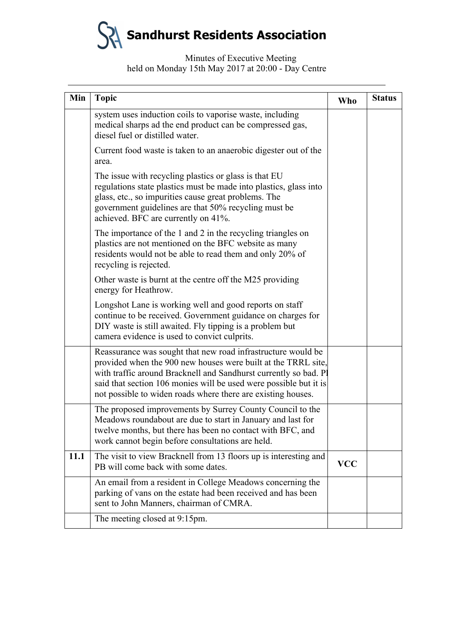| Min  | <b>Topic</b>                                                                                                                                                                                                                                                                                                                           | Who        | <b>Status</b> |
|------|----------------------------------------------------------------------------------------------------------------------------------------------------------------------------------------------------------------------------------------------------------------------------------------------------------------------------------------|------------|---------------|
|      | system uses induction coils to vaporise waste, including<br>medical sharps ad the end product can be compressed gas,<br>diesel fuel or distilled water.                                                                                                                                                                                |            |               |
|      | Current food waste is taken to an anaerobic digester out of the<br>area.                                                                                                                                                                                                                                                               |            |               |
|      | The issue with recycling plastics or glass is that EU<br>regulations state plastics must be made into plastics, glass into<br>glass, etc., so impurities cause great problems. The<br>government guidelines are that 50% recycling must be<br>achieved. BFC are currently on 41%.                                                      |            |               |
|      | The importance of the 1 and 2 in the recycling triangles on<br>plastics are not mentioned on the BFC website as many<br>residents would not be able to read them and only 20% of<br>recycling is rejected.                                                                                                                             |            |               |
|      | Other waste is burnt at the centre off the M25 providing<br>energy for Heathrow.                                                                                                                                                                                                                                                       |            |               |
|      | Longshot Lane is working well and good reports on staff<br>continue to be received. Government guidance on charges for<br>DIY waste is still awaited. Fly tipping is a problem but<br>camera evidence is used to convict culprits.                                                                                                     |            |               |
|      | Reassurance was sought that new road infrastructure would be<br>provided when the 900 new houses were built at the TRRL site,<br>with traffic around Bracknell and Sandhurst currently so bad. Pl<br>said that section 106 monies will be used were possible but it is<br>not possible to widen roads where there are existing houses. |            |               |
|      | The proposed improvements by Surrey County Council to the<br>Meadows roundabout are due to start in January and last for<br>twelve months, but there has been no contact with BFC, and<br>work cannot begin before consultations are held.                                                                                             |            |               |
| 11.1 | The visit to view Bracknell from 13 floors up is interesting and<br>PB will come back with some dates.                                                                                                                                                                                                                                 | <b>VCC</b> |               |
|      | An email from a resident in College Meadows concerning the<br>parking of vans on the estate had been received and has been<br>sent to John Manners, chairman of CMRA.                                                                                                                                                                  |            |               |
|      | The meeting closed at 9:15pm.                                                                                                                                                                                                                                                                                                          |            |               |